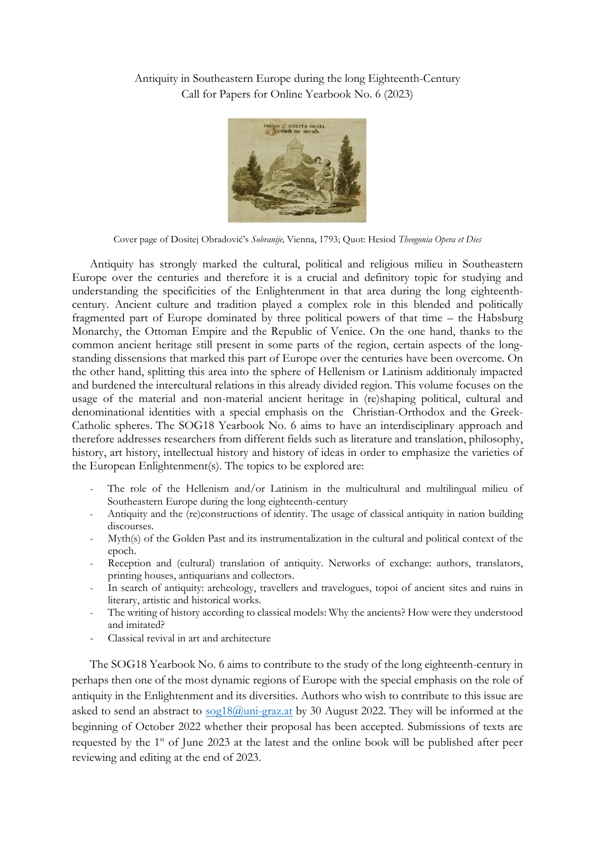Antiquity in Southeastern Europe during the long Eighteenth-Century Call for Papers for Online Yearbook No. 6 (2023)



Cover page of Dositej Obradović's *Sobranije,* Vienna, 1793; Quot: Hesiod *Theogonia Opera et Dies*

Antiquity has strongly marked the cultural, political and religious milieu in Southeastern Europe over the centuries and therefore it is a crucial and definitory topic for studying and understanding the specificities of the Enlightenment in that area during the long eighteenthcentury. Ancient culture and tradition played a complex role in this blended and politically fragmented part of Europe dominated by three political powers of that time – the Habsburg Monarchy, the Ottoman Empire and the Republic of Venice. On the one hand, thanks to the common ancient heritage still present in some parts of the region, certain aspects of the longstanding dissensions that marked this part of Europe over the centuries have been overcome. On the other hand, splitting this area into the sphere of Hellenism or Latinism additionaly impacted and burdened the intercultural relations in this already divided region. This volume focuses on the usage of the material and non-material ancient heritage in (re)shaping political, cultural and denominational identities with a special emphasis on the Christian-Orthodox and the Greek-Catholic spheres. The SOG18 Yearbook No. 6 aims to have an interdisciplinary approach and therefore addresses researchers from different fields such as literature and translation, philosophy, history, art history, intellectual history and history of ideas in order to emphasize the varieties of the European Enlightenment(s). The topics to be explored are:

- The role of the Hellenism and/or Latinism in the multicultural and multilingual milieu of Southeastern Europe during the long eighteenth-century
- Antiquity and the (re)constructions of identity. The usage of classical antiquity in nation building discourses.
- Myth(s) of the Golden Past and its instrumentalization in the cultural and political context of the epoch.
- Reception and (cultural) translation of antiquity. Networks of exchange: authors, translators, printing houses, antiquarians and collectors.
- In search of antiquity: archeology, travellers and travelogues, topoi of ancient sites and ruins in literary, artistic and historical works.
- The writing of history according to classical models: Why the ancients? How were they understood and imitated?
- Classical revival in art and architecture

The SOG18 Yearbook No. 6 aims to contribute to the study of the long eighteenth-century in perhaps then one of the most dynamic regions of Europe with the special emphasis on the role of antiquity in the Enlightenment and its diversities. Authors who wish to contribute to this issue are asked to send an abstract to [sog18@uni-graz.at](mailto:sog18@uni-graz.at) by 30 August 2022. They will be informed at the beginning of October 2022 whether their proposal has been accepted. Submissions of texts are requested by the 1st of June 2023 at the latest and the online book will be published after peer reviewing and editing at the end of 2023.